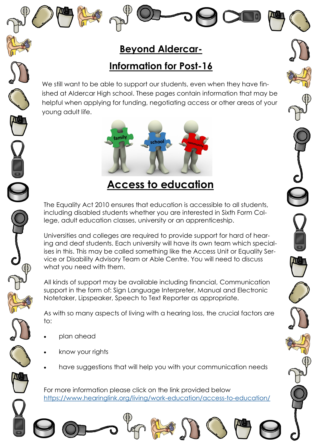## **Beyond Aldercar-**

## **Information for Post-16**

We still want to be able to support our students, even when they have finished at Aldercar High school. These pages contain information that may be helpful when applying for funding, negotiating access or other areas of your young adult life.



# **Access to education**

The Equality Act 2010 ensures that education is accessible to all students, including disabled students whether you are interested in Sixth Form College, adult education classes, university or an apprenticeship.

Universities and colleges are required to provide support for hard of hearing and deaf students. Each university will have its own team which specialises in this. This may be called something like the Access Unit or Equality Service or Disability Advisory Team or Able Centre. You will need to discuss what you need with them.

All kinds of support may be available including financial, [Communication](https://www.hearinglink.org/living/rights-benefits/communication-support/)  [support](https://www.hearinglink.org/living/rights-benefits/communication-support/) in the form of: Sign Language Interpreter, Manual and Electronic Notetaker, Lipspeaker, Speech to Text Reporter as appropriate.

As with so many aspects of living with a hearing loss, the crucial factors are to:

- plan ahead
- know your rights
- have suggestions that will help you with your communication needs

For more information please click on the link provided below <https://www.hearinglink.org/living/work-education/access-to-education/>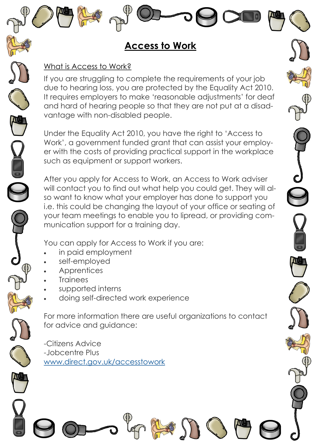## **Access to Work**

#### What is Access to Work?

If you are struggling to complete the requirements of your job due to hearing loss, you are protected by the Equality Act 2010. It requires employers to make 'reasonable adjustments' for deaf and hard of hearing people so that they are not put at a disadvantage with non-disabled people.

Under the Equality Act 2010, you have the right to 'Access to Work', a government funded grant that can assist your employer with the costs of providing practical support in the workplace such as equipment or support workers.

After you apply for Access to Work, an Access to Work adviser will contact you to find out what help you could get. They will also want to know what your employer has done to support you i.e. this could be changing the layout of your office or seating of your team meetings to enable you to lipread, or providing communication support for a training day.

You can apply for Access to Work if you are:

- in paid employment
- self-employed
- **Apprentices**
- **Trainees**
- supported interns
- doing self-directed work experience

For more information there are useful organizations to contact for advice and guidance:

-Citizens Advice -Jobcentre Plus [www.direct.gov.uk/accesstowork](https://www.gov.uk/access-to-work)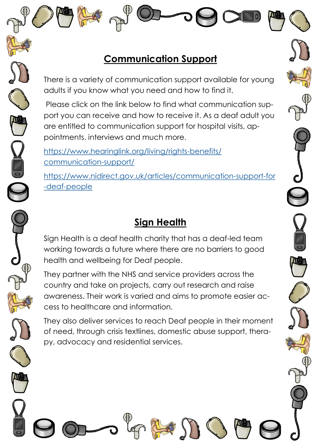## **Communication Support**

There is a variety of communication support available for young adults if you know what you need and how to find it.

Please click on the link below to find what communication support you can receive and how to receive it. As a deaf adult you are entitled to communication support for hospital visits, appointments, interviews and much more.

[https://www.hearinglink.org/living/rights-benefits/](https://www.hearinglink.org/living/rights-benefits/communication-support/) [communication-support/](https://www.hearinglink.org/living/rights-benefits/communication-support/)

[https://www.nidirect.gov.uk/articles/communication-support-for](https://www.nidirect.gov.uk/articles/communication-support-for-deaf-people) [-deaf-people](https://www.nidirect.gov.uk/articles/communication-support-for-deaf-people)

# **Sign Health**

Sign Health is a deaf health charity that has a deaf-led team working towards a future where there are no barriers to good health and wellbeing for Deaf people.

They partner with the NHS and service providers across the country and take on projects, carry out research and raise awareness. Their work is varied and aims to promote easier access to healthcare and information.

They also deliver services to reach Deaf people in their moment of need, through crisis textlines, domestic abuse support, therapy, advocacy and residential services.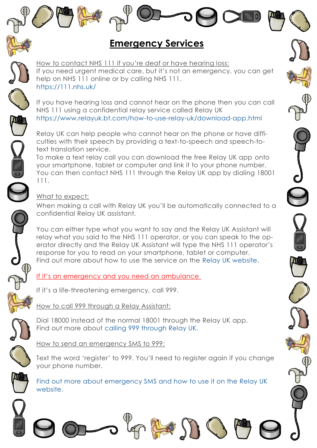## **Emergency Services**

How to contact NHS 111 if you're deaf or have hearing loss: If you need urgent medical care, but it's not an emergency, you can get help on NHS 111 online or by calling NHS 111. <https://111.nhs.uk/>

If you have hearing loss and cannot hear on the phone then you can call NHS 111 using a confidential relay service called Relay UK <https://www.relayuk.bt.com/how-to-use-relay-uk/download-app.html>

Relay UK can help people who cannot hear on the phone or have difficulties with their speech by providing a text-to-speech and speech-totext translation service.

To make a text relay call you can download the free Relay UK app onto your smartphone, tablet or computer and link it to your phone number. You can then contact NHS 111 through the Relay UK app by dialing 18001 111.

#### What to expect:

When making a call with Relay UK you'll be automatically connected to a confidential Relay UK assistant.

You can either type what you want to say and the Relay UK Assistant will relay what you said to the NHS 111 operator, or you can speak to the operator directly and the Relay UK Assistant will type the NHS 111 operator's response for you to read on your smartphone, tablet or computer. Find out more about how to use the service on the [Relay UK website.](https://www.relayuk.bt.com/about-relay-uk.html)

If it's an emergency and you need an ambulance

If it's a life-threatening emergency, call 999.

How to call 999 through a Relay Assistant:

Dial 18000 instead of the normal 18001 through the Relay UK app. Find out more about [calling 999 through Relay UK.](https://www.relayuk.bt.com/how-to-use-relay-uk/contact-999-using-relay-uk.html)

How to send an emergency SMS to 999:

Text the word 'register' to 999. You'll need to register again if you change your phone number.

[Find out more about emergency SMS and how to use it on the Relay UK](https://www.relayuk.bt.com/how-to-use-relay-uk/contact-999-using-relay-uk.html)  [website.](https://www.relayuk.bt.com/how-to-use-relay-uk/contact-999-using-relay-uk.html)

in N







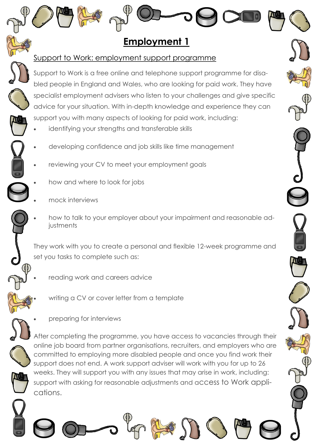Support to Work: employment support programme Support to Work is a free online and telephone support programme for disabled people in England and Wales, who are looking for paid work. They have specialist employment advisers who listen to your challenges and give specific advice for your situation. With in-depth knowledge and experience they can support you with many aspects of looking for paid work, including:

**Employment 1**

- identifying your strengths and transferable skills
- developing confidence and job skills like time management
- reviewing your CV to meet your employment goals
- how and where to look for jobs
- mock interviews
- how to talk to your employer about your impairment and reasonable adiustments

They work with you to create a personal and flexible 12-week programme and set you tasks to complete such as:

- reading work and careers advice
	- writing a CV or cover letter from a template
	- preparing for interviews

After completing the programme, you have access to vacancies through their online job board from partner organisations, recruiters, and employers who are committed to employing more disabled people and once you find work their support does not end. A work support adviser will work with you for up to 26 weeks. They will support you with any issues that may arise in work, including: support with asking for reasonable adjustments and access to Work applications.

of Class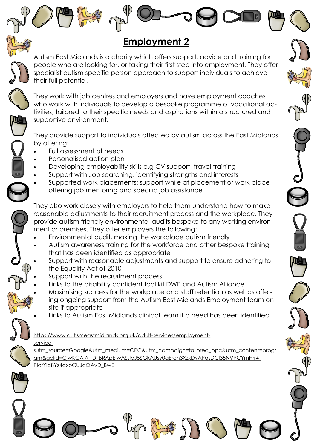## **Employment 2**

Autism East Midlands is a charity which offers support, advice and training for people who are looking for, or taking their first step into employment. They offer specialist autism specific person approach to support individuals to achieve their full potential.

They work with job centres and employers and have employment coaches who work with individuals to develop a bespoke programme of vocational activities, tailored to their specific needs and aspirations within a structured and supportive environment.

They provide support to individuals affected by autism across the East Midlands by offering:

- Full assessment of needs
- Personalised action plan
- Developing employability skills e.g CV support, travel training
- Support with Job searching, identifying strengths and interests
- Supported work placements: support while at placement or work place offering job mentoring and specific job assistance

They also work closely with employers to help them understand how to make reasonable adjustments to their recruitment process and the workplace. They provide autism friendly environmental audits bespoke to any working environment or premises. They offer employers the following:

- Environmental audit, making the workplace autism friendly
- Autism awareness training for the workforce and other bespoke training that has been identified as appropriate
- Support with reasonable adjustments and support to ensure adhering to the Equality Act of 2010
- Support with the recruitment process
- Links to the [disability confident tool kit DWP](https://www.autismeastmidlands.org.uk/about-autism/autism-friendly-communities/employment-support/) and Autism Alliance
- Maximising success for the workplace and staff retention as well as offering ongoing support from the Autism East Midlands Employment team on site if appropriate
- Links to Autism East Midlands clinical team if a need has been identified

https://www.autismeastmidlands.org.uk/adult-services/employmentservice-

sutm\_source=Google&utm\_medium=CPC&utm\_campaign=tailored\_ppc&utm\_content=progr am&gclid=CjwKCAiAi\_D\_BRApEiwASslbJ5SGkAUsy0qEreh3XzxDvAPqsDCl35NVPCYmHrr4- PIcfYid8Yz4dxoCUJcQAvD\_BwE

 $P(1)$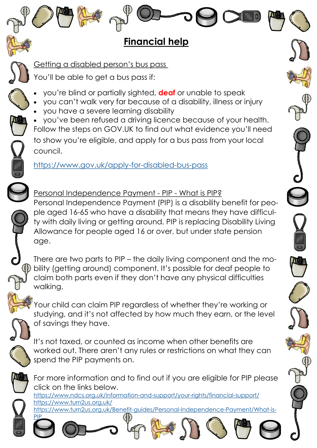## **Financial help**

Getting a disabled person's bus pass

You'll be able to get a bus pass if:

- you're blind or partially sighted, **deaf** or unable to speak
- you can't walk very far because of a disability, illness or injury
- you have a severe learning disability
- you've been refused a driving licence because of your health. [Follow the steps on GOV.UK](https://www.gov.uk/apply-for-disabled-bus-pass) to find out what evidence you'll need to show you're eligible, and apply for a bus pass from your local council.

<https://www.gov.uk/apply-for-disabled-bus-pass>

Personal Independence Payment - PIP - What is PIP? Personal Independence Payment (PIP) is a disability benefit for people aged 16-65 who have a disability that means they have difficulty with daily living or getting around. PIP is replacing Disability Living Allowance for people aged 16 or over, but under state pension age.

There are two parts to PIP – the daily living component and the mobility (getting around) component. It's possible for deaf people to claim both parts even if they don't have any physical difficulties walking.

Your child can claim PIP regardless of whether they're working or studying, and it's not affected by how much they earn, or the level of savings they have.

It's not taxed, or counted as income when other benefits are worked out. There aren't any rules or restrictions on what they can spend the PIP payments on.



**[PIP](https://www.turn2us.org.uk/Benefit-guides/Personal-Independence-Payment/What-is-PIP)** 

For more information and to find out if you are eligible for PIP please click on the links below.

<https://www.ndcs.org.uk/information-and-support/your-rights/financial-support/> <https://www.turn2us.org.uk/> [https://www.turn2us.org.uk/Benefit-guides/Personal-Independence-Payment/What-is-](https://www.turn2us.org.uk/Benefit-guides/Personal-Independence-Payment/What-is-PIP)